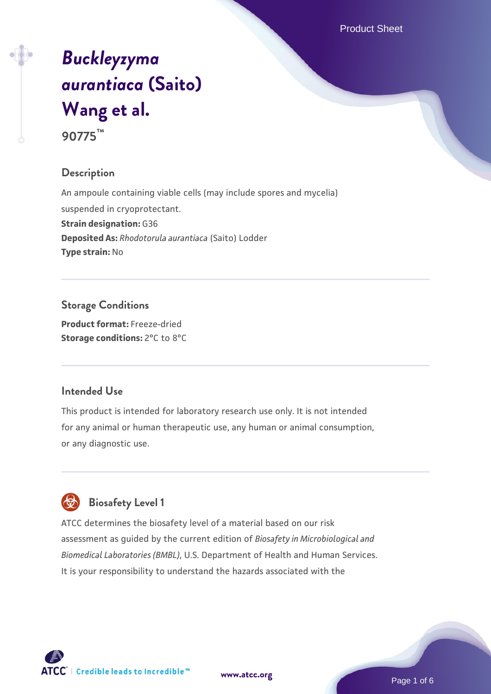Product Sheet

# *[Buckleyzyma](https://www.atcc.org/products/90775) [aurantiaca](https://www.atcc.org/products/90775)* **[\(Saito\)](https://www.atcc.org/products/90775) [Wang et al.](https://www.atcc.org/products/90775) 90775™**

## **Description**

An ampoule containing viable cells (may include spores and mycelia) suspended in cryoprotectant. **Strain designation:** G36 **Deposited As:** *Rhodotorula aurantiaca* (Saito) Lodder **Type strain:** No

**Storage Conditions Product format:** Freeze-dried **Storage conditions:** 2°C to 8°C

#### **Intended Use**

This product is intended for laboratory research use only. It is not intended for any animal or human therapeutic use, any human or animal consumption, or any diagnostic use.



ATCC determines the biosafety level of a material based on our risk assessment as guided by the current edition of *Biosafety in Microbiological and Biomedical Laboratories (BMBL)*, U.S. Department of Health and Human Services. It is your responsibility to understand the hazards associated with the



**[www.atcc.org](http://www.atcc.org)**

Page 1 of 6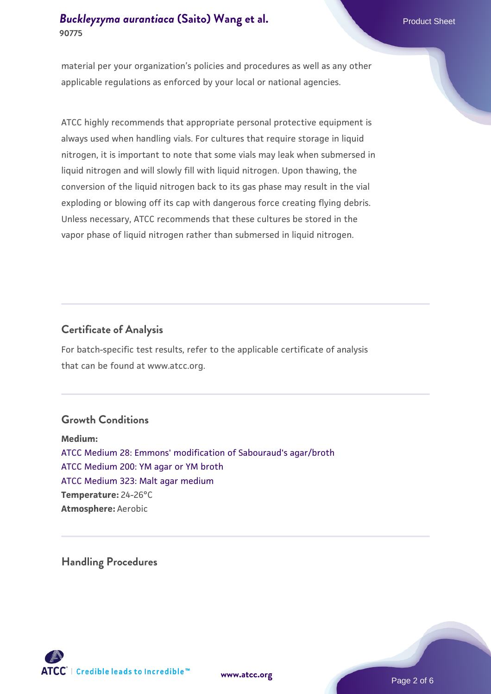material per your organization's policies and procedures as well as any other applicable regulations as enforced by your local or national agencies.

ATCC highly recommends that appropriate personal protective equipment is always used when handling vials. For cultures that require storage in liquid nitrogen, it is important to note that some vials may leak when submersed in liquid nitrogen and will slowly fill with liquid nitrogen. Upon thawing, the conversion of the liquid nitrogen back to its gas phase may result in the vial exploding or blowing off its cap with dangerous force creating flying debris. Unless necessary, ATCC recommends that these cultures be stored in the vapor phase of liquid nitrogen rather than submersed in liquid nitrogen.

## **Certificate of Analysis**

For batch-specific test results, refer to the applicable certificate of analysis that can be found at www.atcc.org.

## **Growth Conditions**

**Medium:**  [ATCC Medium 28: Emmons' modification of Sabouraud's agar/broth](https://www.atcc.org/-/media/product-assets/documents/microbial-media-formulations/2/8/atcc-medium-28.pdf?rev=0da0c58cc2a343eeae735016b70809bb) [ATCC Medium 200: YM agar or YM broth](https://www.atcc.org/-/media/product-assets/documents/microbial-media-formulations/2/0/0/atcc-medium-200.pdf?rev=ac40fd74dc13433a809367b0b9da30fc) [ATCC Medium 323: Malt agar medium](https://www.atcc.org/-/media/product-assets/documents/microbial-media-formulations/3/2/3/atcc-medium-323.pdf?rev=58d6457ee20149d7a1c844947569ef92) **Temperature:** 24-26°C **Atmosphere:** Aerobic

**Handling Procedures**



**[www.atcc.org](http://www.atcc.org)**

Page 2 of 6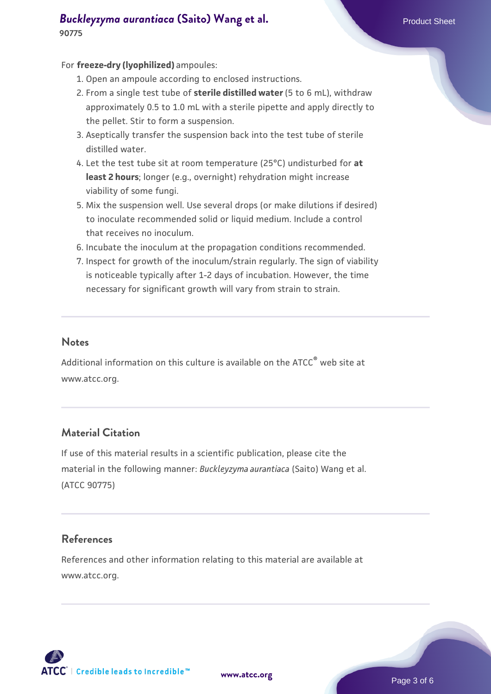#### For **freeze-dry (lyophilized)** ampoules:

- 1. Open an ampoule according to enclosed instructions.
- 2. From a single test tube of **sterile distilled water** (5 to 6 mL), withdraw approximately 0.5 to 1.0 mL with a sterile pipette and apply directly to the pellet. Stir to form a suspension.
- 3. Aseptically transfer the suspension back into the test tube of sterile distilled water.
- Let the test tube sit at room temperature (25°C) undisturbed for **at** 4. **least 2 hours**; longer (e.g., overnight) rehydration might increase viability of some fungi.
- Mix the suspension well. Use several drops (or make dilutions if desired) 5. to inoculate recommended solid or liquid medium. Include a control that receives no inoculum.
- 6. Incubate the inoculum at the propagation conditions recommended.
- 7. Inspect for growth of the inoculum/strain regularly. The sign of viability is noticeable typically after 1-2 days of incubation. However, the time necessary for significant growth will vary from strain to strain.

## **Notes**

Additional information on this culture is available on the ATCC<sup>®</sup> web site at www.atcc.org.

# **Material Citation**

If use of this material results in a scientific publication, please cite the material in the following manner: *Buckleyzyma aurantiaca* (Saito) Wang et al. (ATCC 90775)

## **References**

References and other information relating to this material are available at www.atcc.org.

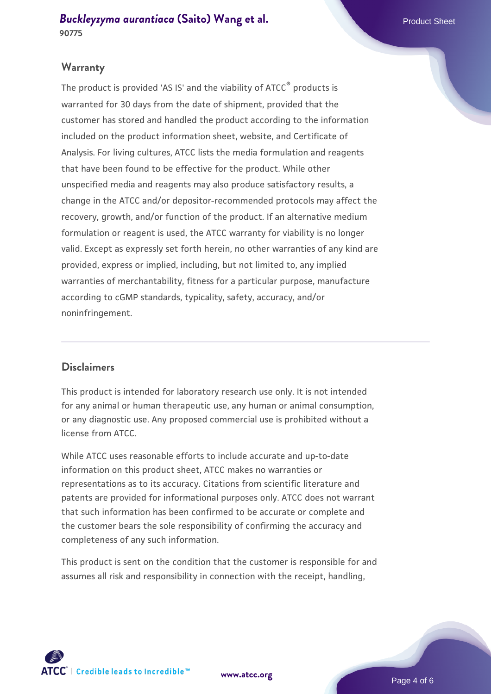## **Warranty**

The product is provided 'AS IS' and the viability of ATCC® products is warranted for 30 days from the date of shipment, provided that the customer has stored and handled the product according to the information included on the product information sheet, website, and Certificate of Analysis. For living cultures, ATCC lists the media formulation and reagents that have been found to be effective for the product. While other unspecified media and reagents may also produce satisfactory results, a change in the ATCC and/or depositor-recommended protocols may affect the recovery, growth, and/or function of the product. If an alternative medium formulation or reagent is used, the ATCC warranty for viability is no longer valid. Except as expressly set forth herein, no other warranties of any kind are provided, express or implied, including, but not limited to, any implied warranties of merchantability, fitness for a particular purpose, manufacture according to cGMP standards, typicality, safety, accuracy, and/or noninfringement.

## **Disclaimers**

This product is intended for laboratory research use only. It is not intended for any animal or human therapeutic use, any human or animal consumption, or any diagnostic use. Any proposed commercial use is prohibited without a license from ATCC.

While ATCC uses reasonable efforts to include accurate and up-to-date information on this product sheet, ATCC makes no warranties or representations as to its accuracy. Citations from scientific literature and patents are provided for informational purposes only. ATCC does not warrant that such information has been confirmed to be accurate or complete and the customer bears the sole responsibility of confirming the accuracy and completeness of any such information.

This product is sent on the condition that the customer is responsible for and assumes all risk and responsibility in connection with the receipt, handling,



**[www.atcc.org](http://www.atcc.org)**

Page 4 of 6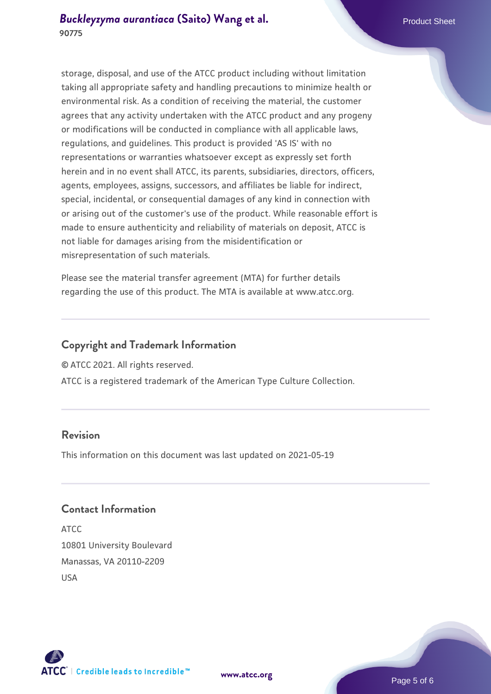storage, disposal, and use of the ATCC product including without limitation taking all appropriate safety and handling precautions to minimize health or environmental risk. As a condition of receiving the material, the customer agrees that any activity undertaken with the ATCC product and any progeny or modifications will be conducted in compliance with all applicable laws, regulations, and guidelines. This product is provided 'AS IS' with no representations or warranties whatsoever except as expressly set forth herein and in no event shall ATCC, its parents, subsidiaries, directors, officers, agents, employees, assigns, successors, and affiliates be liable for indirect, special, incidental, or consequential damages of any kind in connection with or arising out of the customer's use of the product. While reasonable effort is made to ensure authenticity and reliability of materials on deposit, ATCC is not liable for damages arising from the misidentification or misrepresentation of such materials.

Please see the material transfer agreement (MTA) for further details regarding the use of this product. The MTA is available at www.atcc.org.

## **Copyright and Trademark Information**

© ATCC 2021. All rights reserved.

ATCC is a registered trademark of the American Type Culture Collection.

## **Revision**

This information on this document was last updated on 2021-05-19

## **Contact Information**

ATCC 10801 University Boulevard Manassas, VA 20110-2209 USA